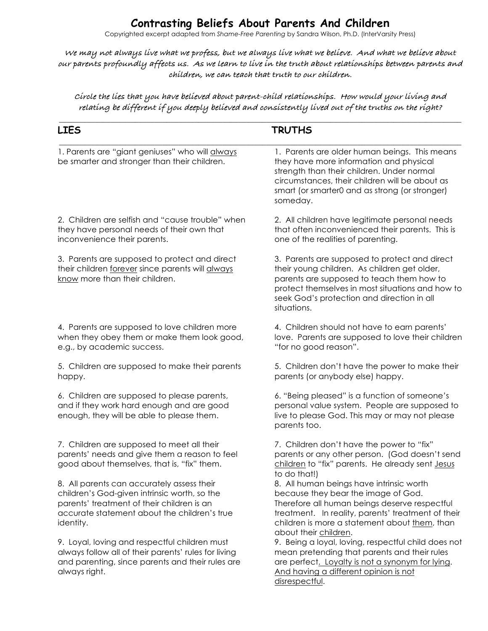# **Contrasting Beliefs About Parents And Children**

Copyrighted excerpt adapted from *Shame-Free Parenting* by Sandra Wilson, Ph.D. (InterVarsity Press)

**We may not always live what we profess, but we always live what we believe. And what we believe about our parents profoundly affects us. As we learn to live in the truth about relationships between parents and children, we can teach that truth to our children.**

**Circle the lies that you have believed about parent-child relationships. How would your living and relating be different if you deeply believed and consistently lived out of the truths on the right?**

| <b>LIES</b>                                                                                                                                                                                           | <b>TRUTHS</b>                                                                                                                                                                                                                                                    |
|-------------------------------------------------------------------------------------------------------------------------------------------------------------------------------------------------------|------------------------------------------------------------------------------------------------------------------------------------------------------------------------------------------------------------------------------------------------------------------|
| 1. Parents are "giant geniuses" who will always<br>be smarter and stronger than their children.                                                                                                       | 1. Parents are older human beings. This means<br>they have more information and physical<br>strength than their children. Under normal<br>circumstances, their children will be about as<br>smart (or smarter0 and as strong (or stronger)<br>someday.           |
| 2. Children are selfish and "cause trouble" when<br>they have personal needs of their own that<br>inconvenience their parents.                                                                        | 2. All children have legitimate personal needs<br>that often inconvenienced their parents. This is<br>one of the realities of parenting.                                                                                                                         |
| 3. Parents are supposed to protect and direct<br>their children forever since parents will always<br>know more than their children.                                                                   | 3. Parents are supposed to protect and direct<br>their young children. As children get older,<br>parents are supposed to teach them how to<br>protect themselves in most situations and how to<br>seek God's protection and direction in all<br>situations.      |
| 4. Parents are supposed to love children more<br>when they obey them or make them look good,<br>e.g., by academic success.                                                                            | 4. Children should not have to earn parents'<br>love. Parents are supposed to love their children<br>"for no good reason".                                                                                                                                       |
| 5. Children are supposed to make their parents<br>happy.                                                                                                                                              | 5. Children don't have the power to make their<br>parents (or anybody else) happy.                                                                                                                                                                               |
| 6. Children are supposed to please parents,<br>and if they work hard enough and are good<br>enough, they will be able to please them.                                                                 | 6. "Being pleased" is a function of someone's<br>personal value system. People are supposed to<br>live to please God. This may or may not please<br>parents too.                                                                                                 |
| 7. Children are supposed to meet all their<br>parents' needs and give them a reason to feel<br>good about themselves, that is, "fix" them.                                                            | 7. Children don't have the power to "fix"<br>parents or any other person. (God doesn't send<br>children to "fix" parents. He already sent Jesus<br>to do that!)                                                                                                  |
| 8. All parents can accurately assess their<br>children's God-given intrinsic worth, so the<br>parents' treatment of their children is an<br>accurate statement about the children's true<br>identity. | 8. All human beings have intrinsic worth<br>because they bear the image of God.<br>Therefore all human beings deserve respectful<br>treatment. In reality, parents' treatment of their<br>children is more a statement about them, than<br>about their children. |
| 9. Loyal, loving and respectful children must<br>always follow all of their parents' rules for living<br>and parenting, since parents and their rules are<br>always right.                            | 9. Being a loyal, loving, respectful child does not<br>mean pretending that parents and their rules<br>are perfect. Loyalty is not a synonym for lying.<br>And having a different opinion is not<br>disrespectful.                                               |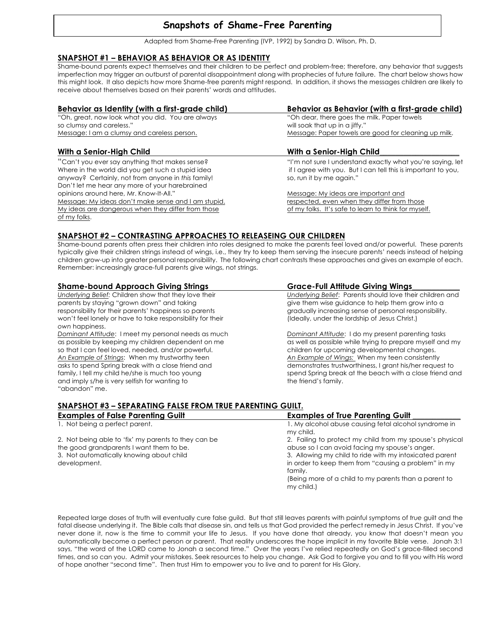## **Snapshots of Shame-Free Parenting**

Adapted from Shame-Free Parenting (IVP, 1992) by Sandra D. Wilson, Ph. D.

#### **SNAPSHOT #1 – BEHAVIOR AS BEHAVIOR OR AS IDENTITY**

Shame-bound parents expect themselves and their children to be perfect and problem-free; therefore, any behavior that suggests imperfection may trigger an outburst of parental disappointment along with prophecies of future failure. The chart below shows how this might look. It also depicts how more Shame-free parents might respond. In addition, it shows the messages children are likely to receive about themselves based on their parents' words and attitudes.

| Behavior as Identity (with a first-grade child)     | Behavior as Behavior (with a first-grade child)               |
|-----------------------------------------------------|---------------------------------------------------------------|
| "Oh, great, now look what you did. You are always   | "Oh dear, there goes the milk. Paper towels                   |
| so clumsy and careless."                            | will soak that up in a jiffy."                                |
| Message: I am a clumsy and careless person.         | Message: Paper towels are good for cleaning up milk.          |
| With a Senior-High Child                            | With a Senior-High Child                                      |
| "Can't you ever say anything that makes sense?      | "I'm not sure I understand exactly what you're saying, let    |
| Where in the world did you get such a stupid idea   | if I agree with you. But I can tell this is important to you, |
| anyway? Certainly, not from anyone in this family!  | so, run it by me again."                                      |
| Don't let me hear any more of your harebrained      |                                                               |
| opinions around here, Mr. Know-It-All."             | Message: My ideas are important and                           |
| Message: My ideas don't make sense and I am stupid. | respected, even when they differ from those                   |
| My ideas are dangerous when they differ from those  | of my folks. It's safe to learn to think for myself.          |
| of my folks.                                        |                                                               |

#### **SNAPSHOT #2 – CONTRASTING APPROACHES TO RELEASEING OUR CHILDREN**

Shame-bound parents often press their children into roles designed to make the parents feel loved and/or powerful. These parents typically give their children strings instead of wings, i.e., they try to keep them serving the insecure parents' needs instead of helping children grow-up into greater personal responsibility. The following chart contrasts these approaches and gives an example of each. Remember: increasingly grace-full parents give wings, not strings.

| <b>Shame-bound Approach Giving Strings</b>                 | <b>Grace-Full Attitude Giving Wings</b>                   |
|------------------------------------------------------------|-----------------------------------------------------------|
| Underlying Belief: Children show that they love their      | Underlying Belief: Parents should love their children and |
| parents by staying "grown down" and taking                 | give them wise guidance to help them grow into a          |
| responsibility for their parents' happiness so parents     | gradually increasing sense of personal responsibility.    |
| won't feel lonely or have to take responsibility for their | (Ideally, under the lordship of Jesus Christ.)            |
| own happiness.                                             |                                                           |
| Dominant Attitude: I meet my personal needs as much        | Dominant Attitude: I do my present parenting tasks        |
| as possible by keeping my children dependent on me         | as well as possible while trying to prepare myself and my |
| so that I can feel loved, needed, and/or powerful.         | children for upcoming developmental changes.              |
| An Example of Strings: When my trustworthy teen            | An Example of Wings: When my teen consistently            |
| asks to spend Spring break with a close friend and         | demonstrates trustworthiness, I grant his/her request to  |
| family, I tell my child he/she is much too young           | spend Spring break at the beach with a close friend and   |
| and imply s/he is very selfish for wanting to              | the friend's family.                                      |
| "abandon" me.                                              |                                                           |
|                                                            |                                                           |

#### **SNAPSHOT #3 – SEPARATING FALSE FROM TRUE PARENTING GUILT.**

| <b>Examples of False Parenting Guilt</b>                 | <b>Examples of True Parenting Guilt</b>                                                                                    |
|----------------------------------------------------------|----------------------------------------------------------------------------------------------------------------------------|
| 1. Not being a perfect parent.                           | 1. My alcohol abuse causing fetal alcohol syndrome in<br>my child.                                                         |
| 2. Not being able to 'fix' my parents to they can be     | 2. Failing to protect my child from my spouse's physical                                                                   |
| the good grandparents I want them to be.                 | abuse so I can avoid facing my spouse's anger.                                                                             |
| 3. Not automatically knowing about child<br>development. | 3. Allowing my child to ride with my intoxicated parent<br>in order to keep them from "causing a problem" in my<br>family. |
|                                                          | (Being more of a child to my parents than a parent to<br>my child.)                                                        |

Repeated large doses of truth will eventually cure false guild. But that still leaves parents with painful symptoms of *true* guilt and the fatal disease underlying it. The Bible calls that disease sin, and tells us that God provided the perfect remedy in Jesus Christ. If you've never done it, now is the time to commit your life to Jesus. If you have done that already, you know that doesn't mean you automatically become a perfect person or parent. That reality underscores the hope implicit in my favorite Bible verse. Jonah 3:1 says, "the word of the LORD came to Jonah a second time." Over the years I've relied repeatedly on God's grace-filled second times, and so can you. Admit your mistakes. Seek resources to help you change. Ask God to forgive you and to fill you with His word of hope another "second time". Then trust Him to empower you to live and to parent for His Glory.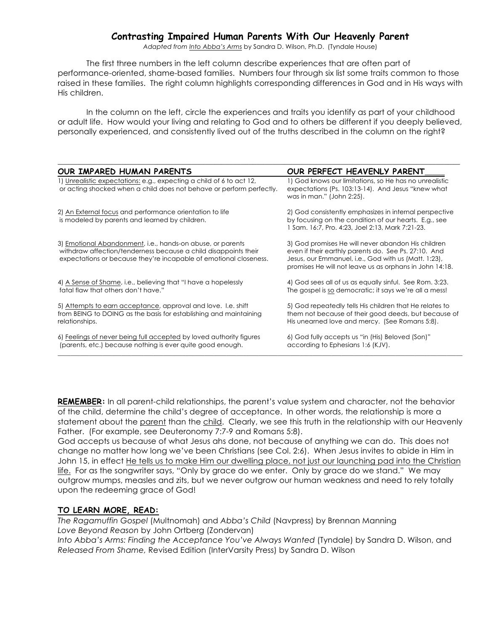## **Contrasting Impaired Human Parents With Our Heavenly Parent**

*Adapted from Into Abba's Arms* by Sandra D. Wilson, Ph.D. (Tyndale House)

The first three numbers in the left column describe experiences that are often part of performance-oriented, shame-based families. Numbers four through six list some traits common to those raised in these families. The right column highlights corresponding differences in God and in His ways with His children.

In the column on the left, circle the experiences and traits you identify as part of your childhood or adult life. How would your living and relating to God and to others be different if you deeply believed, personally experienced, and consistently lived out of the truths described in the column on the right?

| OUR IMPARED HUMAN PARENTS                                                                                                                                                                          | OUR PERFECT HEAVENLY PARENT                                                                                                                                                                                                   |
|----------------------------------------------------------------------------------------------------------------------------------------------------------------------------------------------------|-------------------------------------------------------------------------------------------------------------------------------------------------------------------------------------------------------------------------------|
| 1) Unrealistic expectations: e.g., expecting a child of 6 to act 12,<br>or acting shocked when a child does not behave or perform perfectly.                                                       | 1) God knows our limitations, so He has no unrealistic<br>expectations (Ps. 103:13-14). And Jesus "knew what<br>was in man." (John 2:25).                                                                                     |
| 2) An External focus and performance orientation to life<br>is modeled by parents and learned by children.                                                                                         | 2) God consistently emphasizes in internal perspective<br>by focusing on the condition of our hearts. E.g., see<br>1 Sam. 16:7, Pro. 4:23, Joel 2:13, Mark 7:21-23.                                                           |
| 3) Emotional Abandonment, i.e., hands-on abuse, or parents<br>withdraw affection/tenderness because a child disappoints their<br>expectations or because they're incapable of emotional closeness. | 3) God promises He will never abandon His children<br>even if their earthly parents do. See Ps. 27:10. And<br>Jesus, our Emmanuel, i.e., God with us (Matt. 1:23),<br>promises He will not leave us as orphans in John 14:18. |
| 4) A Sense of Shame, i.e., believing that "I have a hopelessly<br>fatal flaw that others don't have."                                                                                              | 4) God sees all of us as equally sinful. See Rom. 3:23.<br>The gospel is so democratic; it says we're all a mess!                                                                                                             |
| 5) Attempts to earn acceptance, approval and love. I.e. shift<br>from BEING to DOING as the basis for establishing and maintaining<br>relationships.                                               | 5) God repeatedly tells His children that He relates to<br>them not because of their good deeds, but because of<br>His unearned love and mercy. (See Romans 5:8).                                                             |
| 6) Feelings of never being full accepted by loved authority figures<br>(parents, etc.) because nothing is ever quite good enough.                                                                  | 6) God fully accepts us "in (His) Beloved (Son)"<br>according to Ephesians 1:6 (KJV).                                                                                                                                         |

**REMEMBER:** In all parent-child relationships, the parent's value system and character, not the behavior of the child, determine the child's degree of acceptance. In other words, the relationship is more a statement about the parent than the child. Clearly, we see this truth in the relationship with our Heavenly Father. (For example, see Deuteronomy 7:7-9 and Romans 5:8).

God accepts us because of what Jesus ahs done, not because of anything we can do. This does not change no matter how long we've been Christians (see Col. 2:6). When Jesus invites to abide in Him in John 15, in effect He tells us to make Him our dwelling place, not just our launching pad into the Christian life. For as the songwriter says, "Only by grace do we enter. Only by grace do we stand." We may outgrow mumps, measles and zits, but we never outgrow our human weakness and need to rely totally upon the redeeming grace of God!

#### **TO LEARN MORE, READ:**

*The Ragamuffin Gospel* (Multnomah) and *Abba's Child* (Navpress) by Brennan Manning *Love Beyond Reason* by John Ortberg (Zondervan)

Into Abba's Arms: Finding the Acceptance You've Always Wanted (Tyndale) by Sandra D. Wilson, and *Released From Shame,* Revised Edition (InterVarsity Press) by Sandra D. Wilson